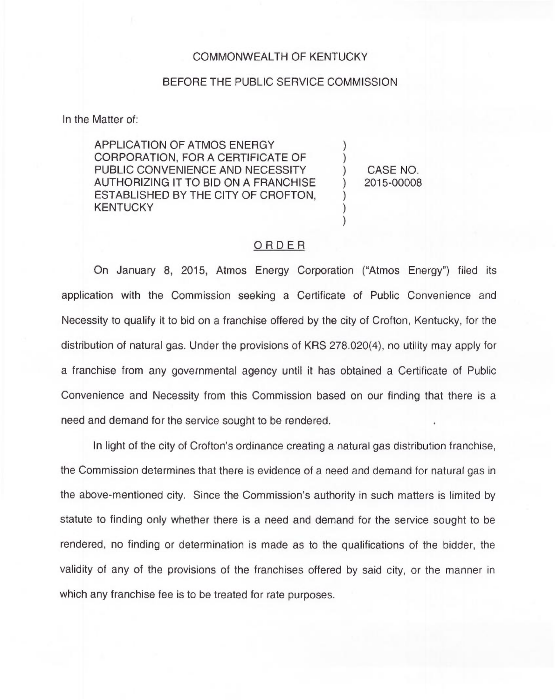## COMMONWEALTH OF KENTUCKY

## BEFORE THE PUBLIC SERVICE COMMISSION

In the Matter of:

APPLICATION OF ATMOS ENERGY CORPORATION, FOR A CERTIFICATE OF PUBLIC CONVENIENCE AND NECESSITY AUTHORIZING IT TO BID ON A FRANCHISE ESTABLISHED BY THE CITY OF CROFTON, **KENTUCKY** 

) CASE NO. ) 2015-00008

) )

) ) )

## ORDER

On January 8, 2015, Atmos Energy Corporation ("Atmos Energy") filed its application with the Commission seeking a Certificate of Public Convenience and Necessity to qualify it to bid on a franchise offered by the city of Crofton, Kentucky, for the distribution of natural gas. Under the provisions of KRS 278.020(4), no utility may apply for a franchise from any governmental agency until it has obtained a Certificate of Public Convenience and Necessity from this Commission based on our finding that there is a need and demand for the service sought to be rendered.

In light of the city of Crofton's ordinance creating a natural gas distribution franchise, the Commission determines that there is evidence of a need and demand for natural gas in the above-mentioned city. Since the Commission's authority in such matters is limited by statute to finding only whether there is a need and demand for the service sought to be rendered, no finding or determination is made as to the qualifications of the bidder, the validity of any of the provisions of the franchises offered by said city, or the manner in which any franchise fee is to be treated for rate purposes.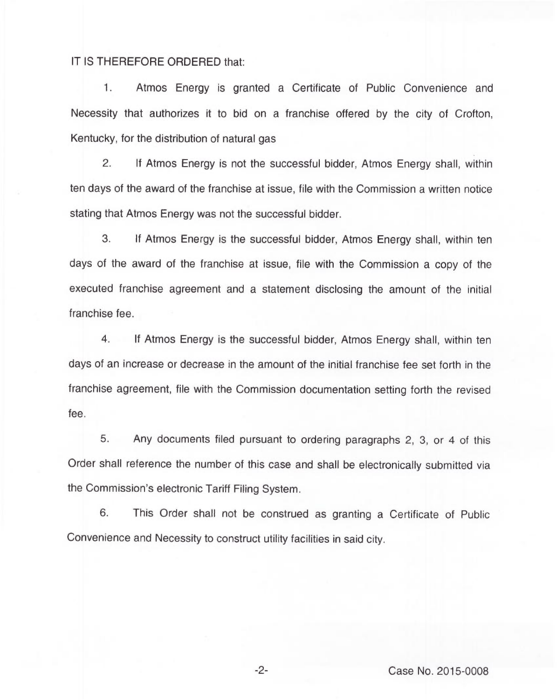## IT IS THEREFORE ORDERED that:

1. Atmos Energy is granted a Certificate of Public Convenience and Necessity that authorizes it to bid on a franchise offered by the city of Crofton, Kentucky, for the distribution of natural gas

 $2.$ If Atmos Energy is not the successful bidder, Atmos Energy shall, within ten days of the award of the franchise at issue, file with the Commission a written notice stating that Atmos Energy was not the successful bidder.

3. If Atmos Energy is the successful bidder, Atmos Energy shall, within ten days of the award of the franchise at issue, file with the Commission a copy of the executed franchise agreement and a statement disclosing the amount of the initial franchise fee.

4. If Atmos Energy is the successful bidder, Atmos Energy shall, within ten days of an increase or decrease in the amount of the initial franchise fee set forth in the franchise agreement, file with the Commission documentation setting forth the revised fee.

5. Any documents filed pursuant to ordering paragraphs 2, 3, or 4 of this Order shall reference the number of this case and shall be electronically submitted via the Commission's electronic Tariff Filing System.

6. This Order shall not be construed as granting a Certificate of Public Convenience and Necessity to construct utility facilities in said city.

-2- Case No. 2015-0008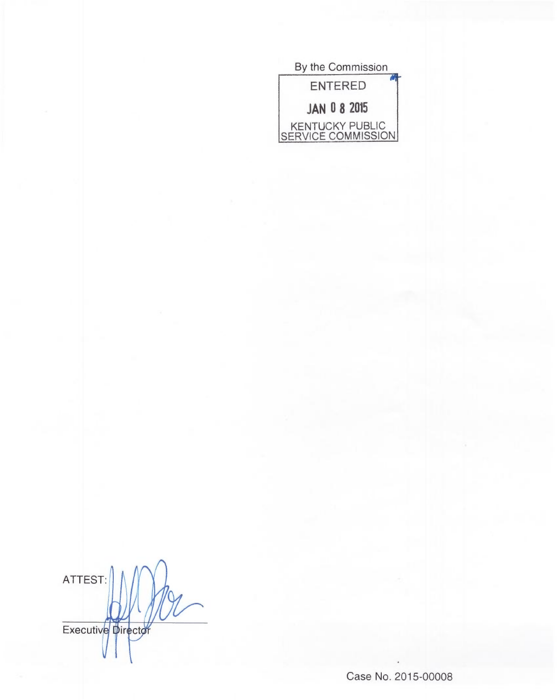

ATTEST Executive Director